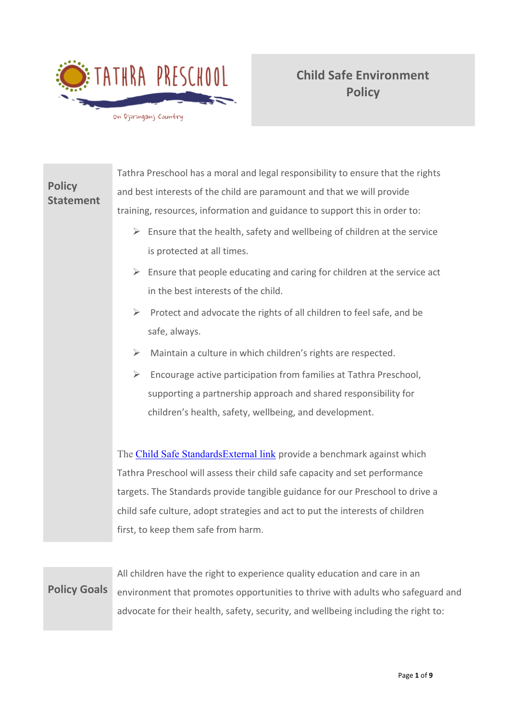

|                                   | Tathra Preschool has a moral and legal responsibility to ensure that the rights               |  |  |  |  |  |
|-----------------------------------|-----------------------------------------------------------------------------------------------|--|--|--|--|--|
| <b>Policy</b><br><b>Statement</b> | and best interests of the child are paramount and that we will provide                        |  |  |  |  |  |
|                                   | training, resources, information and guidance to support this in order to:                    |  |  |  |  |  |
|                                   | $\triangleright$ Ensure that the health, safety and wellbeing of children at the service      |  |  |  |  |  |
|                                   | is protected at all times.                                                                    |  |  |  |  |  |
|                                   | $\triangleright$ Ensure that people educating and caring for children at the service act      |  |  |  |  |  |
|                                   | in the best interests of the child.                                                           |  |  |  |  |  |
|                                   | $\blacktriangleright$<br>Protect and advocate the rights of all children to feel safe, and be |  |  |  |  |  |
|                                   | safe, always.                                                                                 |  |  |  |  |  |
|                                   | Maintain a culture in which children's rights are respected.<br>$\blacktriangleright$         |  |  |  |  |  |
|                                   | $\blacktriangleright$<br>Encourage active participation from families at Tathra Preschool,    |  |  |  |  |  |
|                                   | supporting a partnership approach and shared responsibility for                               |  |  |  |  |  |
|                                   | children's health, safety, wellbeing, and development.                                        |  |  |  |  |  |
|                                   |                                                                                               |  |  |  |  |  |
|                                   | The Child Safe Standards External link provide a benchmark against which                      |  |  |  |  |  |
|                                   | Tathra Preschool will assess their child safe capacity and set performance                    |  |  |  |  |  |
|                                   | targets. The Standards provide tangible guidance for our Preschool to drive a                 |  |  |  |  |  |
|                                   | child safe culture, adopt strategies and act to put the interests of children                 |  |  |  |  |  |
|                                   | first, to keep them safe from harm.                                                           |  |  |  |  |  |
|                                   |                                                                                               |  |  |  |  |  |

**Policy Goals** All children have the right to experience quality education and care in an environment that promotes opportunities to thrive with adults who safeguard and advocate for their health, safety, security, and wellbeing including the right to: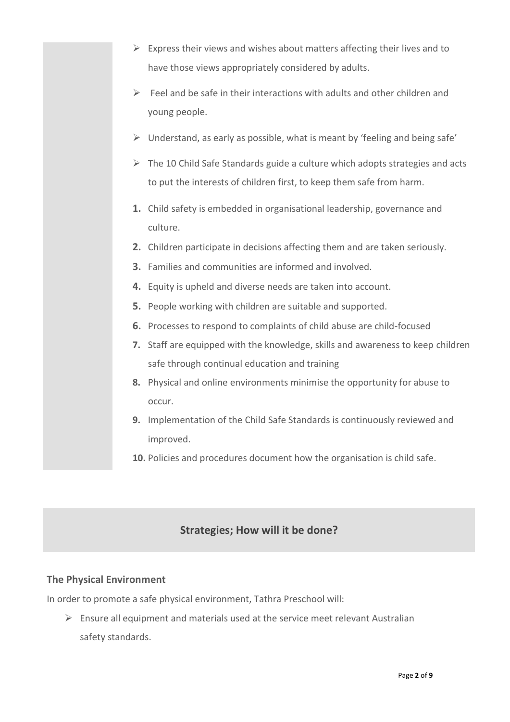- $\triangleright$  Express their views and wishes about matters affecting their lives and to have those views appropriately considered by adults.
- $\triangleright$  Feel and be safe in their interactions with adults and other children and young people.
- ➢ Understand, as early as possible, what is meant by 'feeling and being safe'
- ➢ The 10 Child Safe Standards guide a culture which adopts strategies and acts to put the interests of children first, to keep them safe from harm.
- **1.** Child safety is embedded in organisational leadership, governance and culture.
- **2.** Children participate in decisions affecting them and are taken seriously.
- **3.** Families and communities are informed and involved.
- **4.** Equity is upheld and diverse needs are taken into account.
- **5.** People working with children are suitable and supported.
- **6.** Processes to respond to complaints of child abuse are child-focused
- **7.** Staff are equipped with the knowledge, skills and awareness to keep children safe through continual education and training
- **8.** Physical and online environments minimise the opportunity for abuse to occur.
- **9.** Implementation of the Child Safe Standards is continuously reviewed and improved.
- **10.** Policies and procedures document how the organisation is child safe.

# **Strategies; How will it be done?**

# **The Physical Environment**

In order to promote a safe physical environment, Tathra Preschool will:

 $\triangleright$  Ensure all equipment and materials used at the service meet relevant Australian safety standards.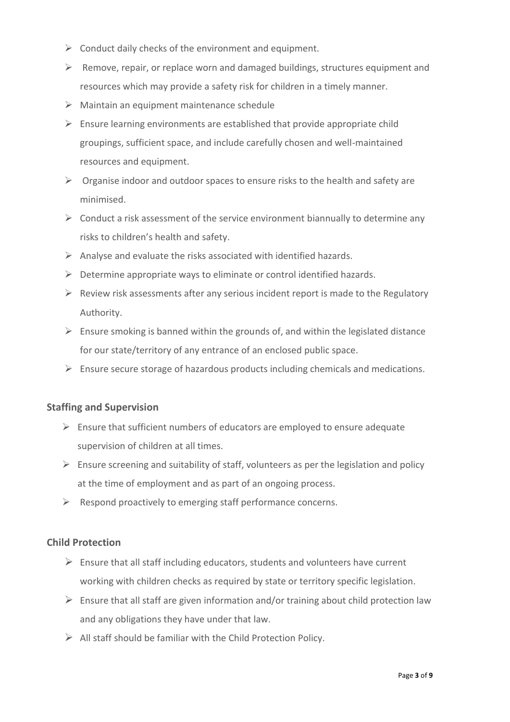- $\triangleright$  Conduct daily checks of the environment and equipment.
- $\triangleright$  Remove, repair, or replace worn and damaged buildings, structures equipment and resources which may provide a safety risk for children in a timely manner.
- $\triangleright$  Maintain an equipment maintenance schedule
- $\triangleright$  Ensure learning environments are established that provide appropriate child groupings, sufficient space, and include carefully chosen and well-maintained resources and equipment.
- $\triangleright$  Organise indoor and outdoor spaces to ensure risks to the health and safety are minimised.
- $\triangleright$  Conduct a risk assessment of the service environment biannually to determine any risks to children's health and safety.
- $\triangleright$  Analyse and evaluate the risks associated with identified hazards.
- $\triangleright$  Determine appropriate ways to eliminate or control identified hazards.
- $\triangleright$  Review risk assessments after any serious incident report is made to the Regulatory Authority.
- $\triangleright$  Ensure smoking is banned within the grounds of, and within the legislated distance for our state/territory of any entrance of an enclosed public space.
- $\triangleright$  Ensure secure storage of hazardous products including chemicals and medications.

#### **Staffing and Supervision**

- $\triangleright$  Ensure that sufficient numbers of educators are employed to ensure adequate supervision of children at all times.
- $\triangleright$  Ensure screening and suitability of staff, volunteers as per the legislation and policy at the time of employment and as part of an ongoing process.
- $\triangleright$  Respond proactively to emerging staff performance concerns.

## **Child Protection**

- $\triangleright$  Ensure that all staff including educators, students and volunteers have current working with children checks as required by state or territory specific legislation.
- $\triangleright$  Ensure that all staff are given information and/or training about child protection law and any obligations they have under that law.
- $\triangleright$  All staff should be familiar with the Child Protection Policy.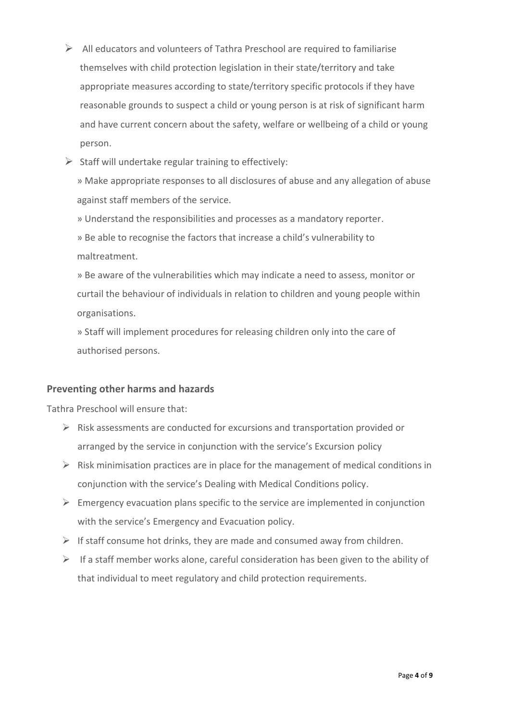- $\triangleright$  All educators and volunteers of Tathra Preschool are required to familiarise themselves with child protection legislation in their state/territory and take appropriate measures according to state/territory specific protocols if they have reasonable grounds to suspect a child or young person is at risk of significant harm and have current concern about the safety, welfare or wellbeing of a child or young person.
- $\triangleright$  Staff will undertake regular training to effectively:

» Make appropriate responses to all disclosures of abuse and any allegation of abuse against staff members of the service.

» Understand the responsibilities and processes as a mandatory reporter.

» Be able to recognise the factors that increase a child's vulnerability to maltreatment.

» Be aware of the vulnerabilities which may indicate a need to assess, monitor or curtail the behaviour of individuals in relation to children and young people within organisations.

» Staff will implement procedures for releasing children only into the care of authorised persons.

## **Preventing other harms and hazards**

Tathra Preschool will ensure that:

- $\triangleright$  Risk assessments are conducted for excursions and transportation provided or arranged by the service in conjunction with the service's Excursion policy
- $\triangleright$  Risk minimisation practices are in place for the management of medical conditions in conjunction with the service's Dealing with Medical Conditions policy.
- $\triangleright$  Emergency evacuation plans specific to the service are implemented in conjunction with the service's Emergency and Evacuation policy.
- $\triangleright$  If staff consume hot drinks, they are made and consumed away from children.
- $\triangleright$  If a staff member works alone, careful consideration has been given to the ability of that individual to meet regulatory and child protection requirements.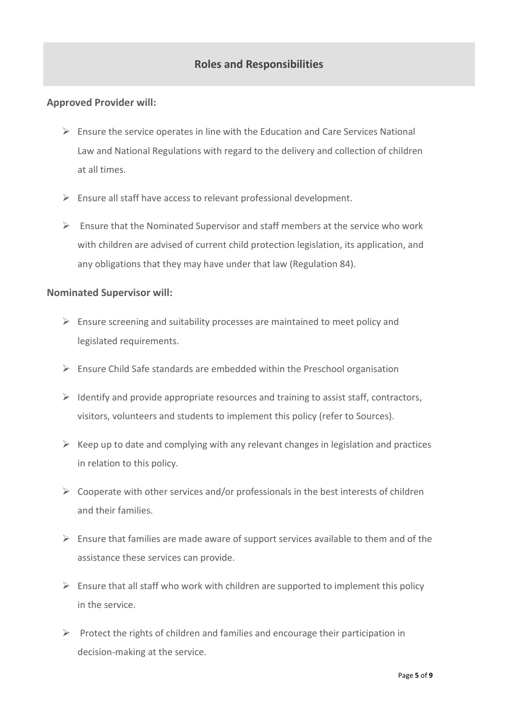# **Roles and Responsibilities**

## **Approved Provider will:**

- $\triangleright$  Ensure the service operates in line with the Education and Care Services National Law and National Regulations with regard to the delivery and collection of children at all times.
- ➢ Ensure all staff have access to relevant professional development.
- $\triangleright$  Ensure that the Nominated Supervisor and staff members at the service who work with children are advised of current child protection legislation, its application, and any obligations that they may have under that law (Regulation 84).

#### **Nominated Supervisor will:**

- $\triangleright$  Ensure screening and suitability processes are maintained to meet policy and legislated requirements.
- $\triangleright$  Ensure Child Safe standards are embedded within the Preschool organisation
- $\triangleright$  Identify and provide appropriate resources and training to assist staff, contractors, visitors, volunteers and students to implement this policy (refer to Sources).
- $\triangleright$  Keep up to date and complying with any relevant changes in legislation and practices in relation to this policy.
- $\triangleright$  Cooperate with other services and/or professionals in the best interests of children and their families.
- $\triangleright$  Ensure that families are made aware of support services available to them and of the assistance these services can provide.
- $\triangleright$  Ensure that all staff who work with children are supported to implement this policy in the service.
- $\triangleright$  Protect the rights of children and families and encourage their participation in decision-making at the service.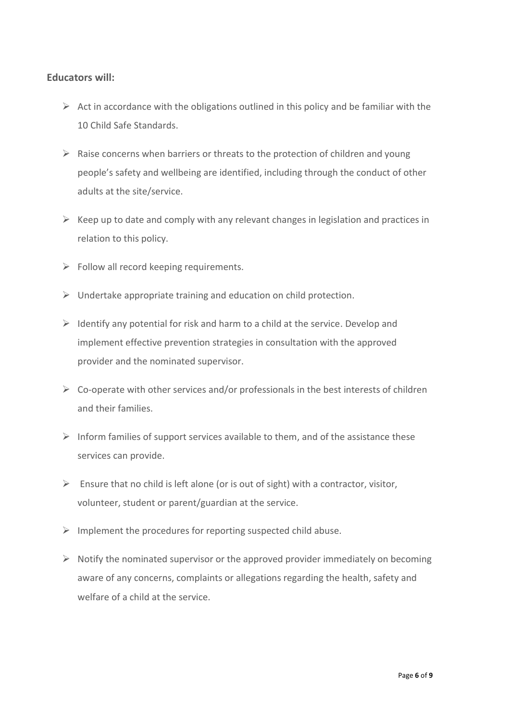## **Educators will:**

- $\triangleright$  Act in accordance with the obligations outlined in this policy and be familiar with the 10 Child Safe Standards.
- $\triangleright$  Raise concerns when barriers or threats to the protection of children and young people's safety and wellbeing are identified, including through the conduct of other adults at the site/service.
- $\triangleright$  Keep up to date and comply with any relevant changes in legislation and practices in relation to this policy.
- $\triangleright$  Follow all record keeping requirements.
- $\triangleright$  Undertake appropriate training and education on child protection.
- $\triangleright$  Identify any potential for risk and harm to a child at the service. Develop and implement effective prevention strategies in consultation with the approved provider and the nominated supervisor.
- $\triangleright$  Co-operate with other services and/or professionals in the best interests of children and their families.
- $\triangleright$  Inform families of support services available to them, and of the assistance these services can provide.
- $\triangleright$  Ensure that no child is left alone (or is out of sight) with a contractor, visitor, volunteer, student or parent/guardian at the service.
- $\triangleright$  Implement the procedures for reporting suspected child abuse.
- $\triangleright$  Notify the nominated supervisor or the approved provider immediately on becoming aware of any concerns, complaints or allegations regarding the health, safety and welfare of a child at the service.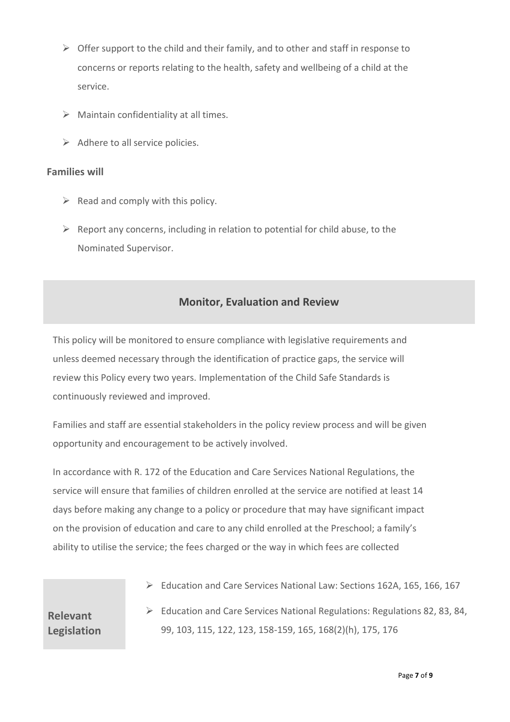- $\triangleright$  Offer support to the child and their family, and to other and staff in response to concerns or reports relating to the health, safety and wellbeing of a child at the service.
- $\triangleright$  Maintain confidentiality at all times.
- $\triangleright$  Adhere to all service policies.

## **Families will**

- $\triangleright$  Read and comply with this policy.
- $\triangleright$  Report any concerns, including in relation to potential for child abuse, to the Nominated Supervisor.

# **Monitor, Evaluation and Review**

This policy will be monitored to ensure compliance with legislative requirements and unless deemed necessary through the identification of practice gaps, the service will review this Policy every two years. Implementation of the Child Safe Standards is continuously reviewed and improved.

Families and staff are essential stakeholders in the policy review process and will be given opportunity and encouragement to be actively involved.

In accordance with R. 172 of the Education and Care Services National Regulations, the service will ensure that families of children enrolled at the service are notified at least 14 days before making any change to a policy or procedure that may have significant impact on the provision of education and care to any child enrolled at the Preschool; a family's ability to utilise the service; the fees charged or the way in which fees are collected

➢ Education and Care Services National Law: Sections 162A, 165, 166, 167

**Relevant Legislation** ➢ Education and Care Services National Regulations: Regulations 82, 83, 84, 99, 103, 115, 122, 123, 158-159, 165, 168(2)(h), 175, 176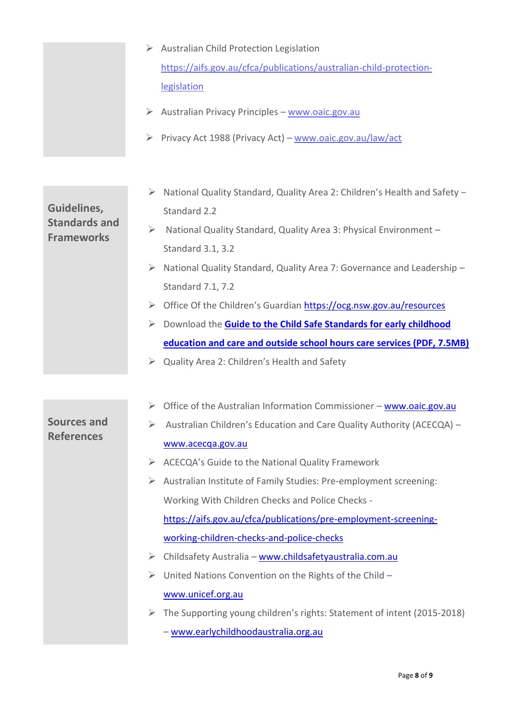| $\triangleright$ Australian Child Protection Legislation           |  |  |  |  |  |
|--------------------------------------------------------------------|--|--|--|--|--|
| https://aifs.gov.au/cfca/publications/australian-child-protection- |  |  |  |  |  |
| legislation                                                        |  |  |  |  |  |

- $\triangleright$  Australian Privacy Principles [www.oaic.gov.au](http://www.oaic.gov.au/)
- ➢ Privacy Act 1988 (Privacy Act) [www.oaic.gov.au/law/act](http://www.oaic.gov.au/law/act)
- ➢ National Quality Standard, Quality Area 2: Children's Health and Safety − Standard 2.2

# ➢ National Quality Standard, Quality Area 3: Physical Environment – Standard 3.1, 3.2

➢ National Quality Standard, Quality Area 7: Governance and Leadership – Standard 7.1, 7.2

- ➢ Office Of the Children's Guardian <https://ocg.nsw.gov.au/resources>
- ➢ Download the **[Guide to the Child Safe Standards for early childhood](https://education.nsw.gov.au/content/dam/main-education/early-childhood-education/working-in-early-childhood-education/media/documents/Guide_Child_Safe_Standards.pdf)  [education and care and outside school hours care services \(PDF, 7.5MB\)](https://education.nsw.gov.au/content/dam/main-education/early-childhood-education/working-in-early-childhood-education/media/documents/Guide_Child_Safe_Standards.pdf)**
- $\triangleright$  Quality Area 2: Children's Health and Safety

|  |  |  | $\triangleright$ Office of the Australian Information Commissioner – www.oaic.gov.au |
|--|--|--|--------------------------------------------------------------------------------------|
|  |  |  |                                                                                      |

➢ Australian Children's Education and Care Quality Authority (ACECQA) – [www.acecqa.gov.au](http://www.acecqa.gov.au/)

- ➢ ACECQA's Guide to the National Quality Framework
- ➢ Australian Institute of Family Studies: Pre-employment screening: Working With Children Checks and Police Checks [https://aifs.gov.au/cfca/publications/pre-employment-screening](https://aifs.gov.au/cfca/publications/pre-employment-screening-working-children-checks-and-police-checks)[working-children-checks-and-police-checks](https://aifs.gov.au/cfca/publications/pre-employment-screening-working-children-checks-and-police-checks)
- ➢ Childsafety Australia [www.childsafetyaustralia.com.au](http://www.childsafetyaustralia.com.au/)
- $\triangleright$  United Nations Convention on the Rights of the Child [www.unicef.org.au](http://www.unicef.org.au/)
- ➢ The Supporting young children's rights: Statement of intent (2015-2018) – [www.earlychildhoodaustralia.org.au](http://www.earlychildhoodaustralia.org.au/)

**Frameworks** 

**Sources and References**

**Guidelines, Standards and**